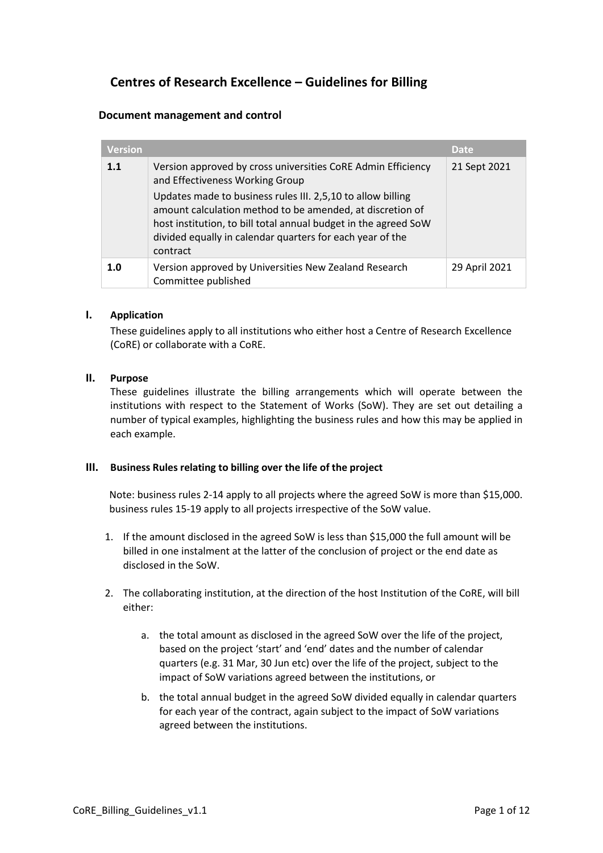# **Centres of Research Excellence – Guidelines for Billing**

## **Document management and control**

| <b>Version</b> |                                                                                                                                                                                                                                                                      | <b>Date</b>   |
|----------------|----------------------------------------------------------------------------------------------------------------------------------------------------------------------------------------------------------------------------------------------------------------------|---------------|
| 1.1            | Version approved by cross universities CoRE Admin Efficiency<br>and Effectiveness Working Group                                                                                                                                                                      | 21 Sept 2021  |
|                | Updates made to business rules III. 2,5,10 to allow billing<br>amount calculation method to be amended, at discretion of<br>host institution, to bill total annual budget in the agreed SoW<br>divided equally in calendar quarters for each year of the<br>contract |               |
| 1.0            | Version approved by Universities New Zealand Research<br>Committee published                                                                                                                                                                                         | 29 April 2021 |

#### **I. Application**

These guidelines apply to all institutions who either host a Centre of Research Excellence (CoRE) or collaborate with a CoRE.

#### **II. Purpose**

These guidelines illustrate the billing arrangements which will operate between the institutions with respect to the Statement of Works (SoW). They are set out detailing a number of typical examples, highlighting the business rules and how this may be applied in each example.

#### **III. Business Rules relating to billing over the life of the project**

Note: business rules 2-14 apply to all projects where the agreed SoW is more than \$15,000. business rules 15-19 apply to all projects irrespective of the SoW value.

- 1. If the amount disclosed in the agreed SoW is less than \$15,000 the full amount will be billed in one instalment at the latter of the conclusion of project or the end date as disclosed in the SoW.
- 2. The collaborating institution, at the direction of the host Institution of the CoRE, will bill either:
	- a. the total amount as disclosed in the agreed SoW over the life of the project, based on the project 'start' and 'end' dates and the number of calendar quarters (e.g. 31 Mar, 30 Jun etc) over the life of the project, subject to the impact of SoW variations agreed between the institutions, or
	- b. the total annual budget in the agreed SoW divided equally in calendar quarters for each year of the contract, again subject to the impact of SoW variations agreed between the institutions.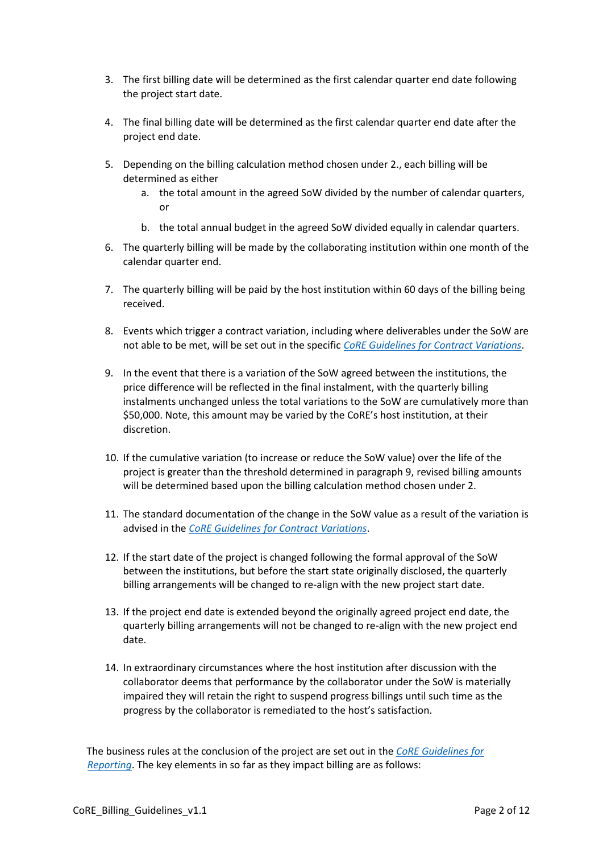- 3. The first billing date will be determined as the first calendar quarter end date following the project start date.
- 4. The final billing date will be determined as the first calendar quarter end date after the project end date.
- 5. Depending on the billing calculation method chosen under 2., each billing will be determined as either
	- a. the total amount in the agreed SoW divided by the number of calendar quarters, or
	- b. the total annual budget in the agreed SoW divided equally in calendar quarters.
- 6. The quarterly billing will be made by the collaborating institution within one month of the calendar quarter end.
- 7. The quarterly billing will be paid by the host institution within 60 days of the billing being received.
- 8. Events which trigger a contract variation, including where deliverables under the SoW are not able to be met, will be set out in the specific *[CoRE Guidelines for Contract Variations](https://cdn.auckland.ac.nz/assets/auckland/research/research-institutes-and-centres/core-contract-variation-guidelines.pdf)*.
- 9. In the event that there is a variation of the SoW agreed between the institutions, the price difference will be reflected in the final instalment, with the quarterly billing instalments unchanged unless the total variations to the SoW are cumulatively more than \$50,000. Note, this amount may be varied by the CoRE's host institution, at their discretion.
- 10. If the cumulative variation (to increase or reduce the SoW value) over the life of the project is greater than the threshold determined in paragraph 9, revised billing amounts will be determined based upon the billing calculation method chosen under 2.
- 11. The standard documentation of the change in the SoW value as a result of the variation is advised in the *CoRE Guidelines [for Contract Variations](https://cdn.auckland.ac.nz/assets/auckland/research/research-institutes-and-centres/core-contract-variation-guidelines.pdf)*.
- 12. If the start date of the project is changed following the formal approval of the SoW between the institutions, but before the start state originally disclosed, the quarterly billing arrangements will be changed to re-align with the new project start date.
- 13. If the project end date is extended beyond the originally agreed project end date, the quarterly billing arrangements will not be changed to re-align with the new project end date.
- 14. In extraordinary circumstances where the host institution after discussion with the collaborator deems that performance by the collaborator under the SoW is materially impaired they will retain the right to suspend progress billings until such time as the progress by the collaborator is remediated to the host's satisfaction.

The business rules at the conclusion of the project are set out in the *[CoRE Guidelines](https://cdn.auckland.ac.nz/assets/auckland/research/research-institutes-and-centres/core-reporting-guidelines.pdf) for [Reporting](https://cdn.auckland.ac.nz/assets/auckland/research/research-institutes-and-centres/core-reporting-guidelines.pdf)*. The key elements in so far as they impact billing are as follows: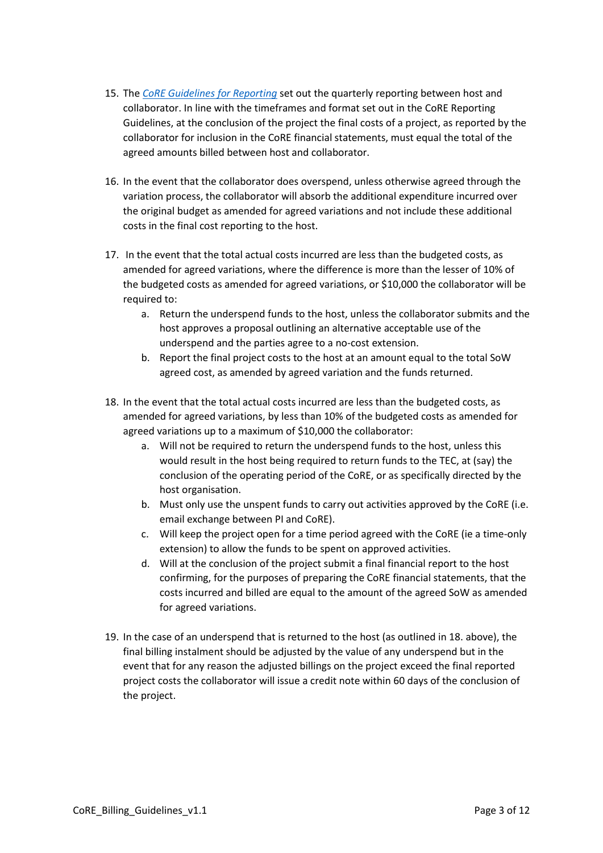- 15. The *[CoRE Guidelines](https://cdn.auckland.ac.nz/assets/auckland/research/research-institutes-and-centres/core-reporting-guidelines.pdf) for Reporting* set out the quarterly reporting between host and collaborator. In line with the timeframes and format set out in the CoRE Reporting Guidelines, at the conclusion of the project the final costs of a project, as reported by the collaborator for inclusion in the CoRE financial statements, must equal the total of the agreed amounts billed between host and collaborator.
- 16. In the event that the collaborator does overspend, unless otherwise agreed through the variation process, the collaborator will absorb the additional expenditure incurred over the original budget as amended for agreed variations and not include these additional costs in the final cost reporting to the host.
- 17. In the event that the total actual costs incurred are less than the budgeted costs, as amended for agreed variations, where the difference is more than the lesser of 10% of the budgeted costs as amended for agreed variations, or \$10,000 the collaborator will be required to:
	- a. Return the underspend funds to the host, unless the collaborator submits and the host approves a proposal outlining an alternative acceptable use of the underspend and the parties agree to a no-cost extension.
	- b. Report the final project costs to the host at an amount equal to the total SoW agreed cost, as amended by agreed variation and the funds returned.
- 18. In the event that the total actual costs incurred are less than the budgeted costs, as amended for agreed variations, by less than 10% of the budgeted costs as amended for agreed variations up to a maximum of \$10,000 the collaborator:
	- a. Will not be required to return the underspend funds to the host, unless this would result in the host being required to return funds to the TEC, at (say) the conclusion of the operating period of the CoRE, or as specifically directed by the host organisation.
	- b. Must only use the unspent funds to carry out activities approved by the CoRE (i.e. email exchange between PI and CoRE).
	- c. Will keep the project open for a time period agreed with the CoRE (ie a time-only extension) to allow the funds to be spent on approved activities.
	- d. Will at the conclusion of the project submit a final financial report to the host confirming, for the purposes of preparing the CoRE financial statements, that the costs incurred and billed are equal to the amount of the agreed SoW as amended for agreed variations.
- 19. In the case of an underspend that is returned to the host (as outlined in 18. above), the final billing instalment should be adjusted by the value of any underspend but in the event that for any reason the adjusted billings on the project exceed the final reported project costs the collaborator will issue a credit note within 60 days of the conclusion of the project.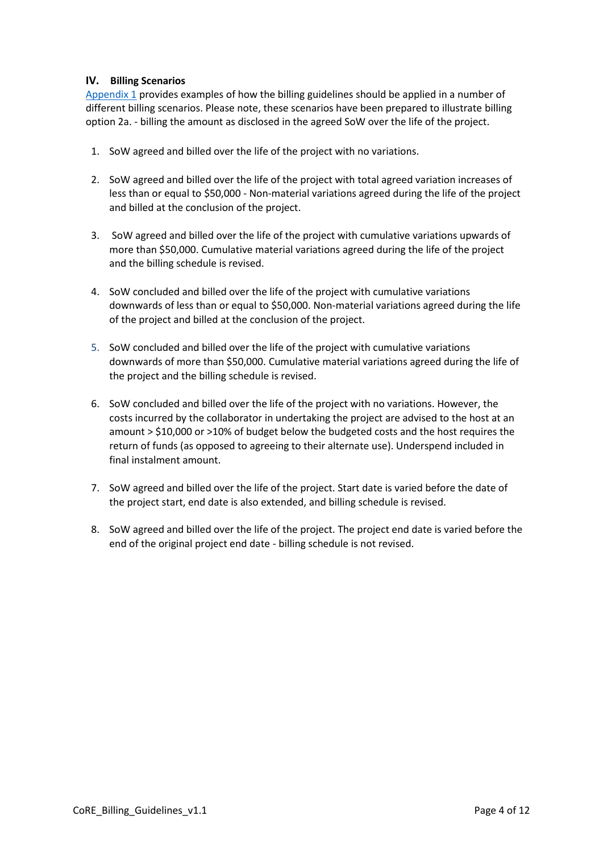## **IV. Billing Scenarios**

[Appendix 1](#page-4-0) provides examples of how the billing guidelines should be applied in a number of different billing scenarios. Please note, these scenarios have been prepared to illustrate billing option 2a. - billing the amount as disclosed in the agreed SoW over the life of the project.

- 1. SoW agreed and billed over the life of the project with no variations.
- 2. SoW agreed and billed over the life of the project with total agreed variation increases of less than or equal to \$50,000 - Non-material variations agreed during the life of the project and billed at the conclusion of the project.
- 3. SoW agreed and billed over the life of the project with cumulative variations upwards of more than \$50,000. Cumulative material variations agreed during the life of the project and the billing schedule is revised.
- 4. SoW concluded and billed over the life of the project with cumulative variations downwards of less than or equal to \$50,000. Non-material variations agreed during the life of the project and billed at the conclusion of the project.
- 5. SoW concluded and billed over the life of the project with cumulative variations downwards of more than \$50,000. Cumulative material variations agreed during the life of the project and the billing schedule is revised.
- 6. SoW concluded and billed over the life of the project with no variations. However, the costs incurred by the collaborator in undertaking the project are advised to the host at an amount > \$10,000 or >10% of budget below the budgeted costs and the host requires the return of funds (as opposed to agreeing to their alternate use). Underspend included in final instalment amount.
- 7. SoW agreed and billed over the life of the project. Start date is varied before the date of the project start, end date is also extended, and billing schedule is revised.
- 8. SoW agreed and billed over the life of the project. The project end date is varied before the end of the original project end date - billing schedule is not revised.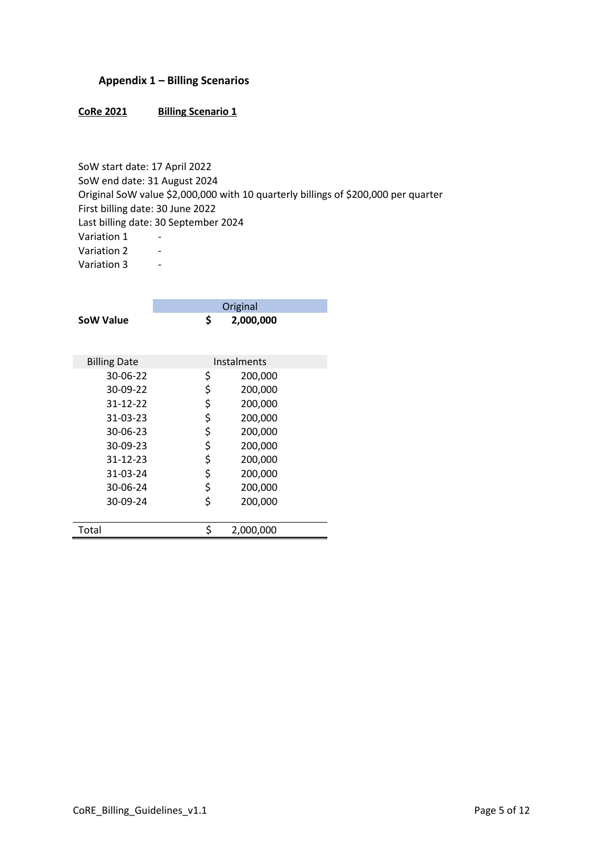## <span id="page-4-0"></span>**Appendix 1 – Billing Scenarios**

#### CoRe 2021 Billing Scenario 1

SoW start date: 17 April 2022 SoW end date: 31 August 2024 Original SoW value \$2,000,000 with 10 quarterly billings of \$200,000 per quarter First billing date: 30 June 2022 Last billing date: 30 September 2024 Variation 1 -Variation 2 -Variation 3 -

|                     | Original        |  |
|---------------------|-----------------|--|
| SoW Value           | \$<br>2,000,000 |  |
| <b>Billing Date</b> | Instalments     |  |
| 30-06-22            | \$<br>200,000   |  |
| 30-09-22            | \$<br>200,000   |  |
| 31-12-22            | \$<br>200,000   |  |
| 31-03-23            | \$<br>200,000   |  |
| $30 - 06 - 23$      | \$<br>200,000   |  |
| $30-09-23$          | \$<br>200,000   |  |
| 31-12-23            | \$<br>200,000   |  |
| 31-03-24            | \$<br>200,000   |  |
| 30-06-24            | \$<br>200,000   |  |
| 30-09-24            | \$<br>200,000   |  |
| Total               | \$<br>2,000,000 |  |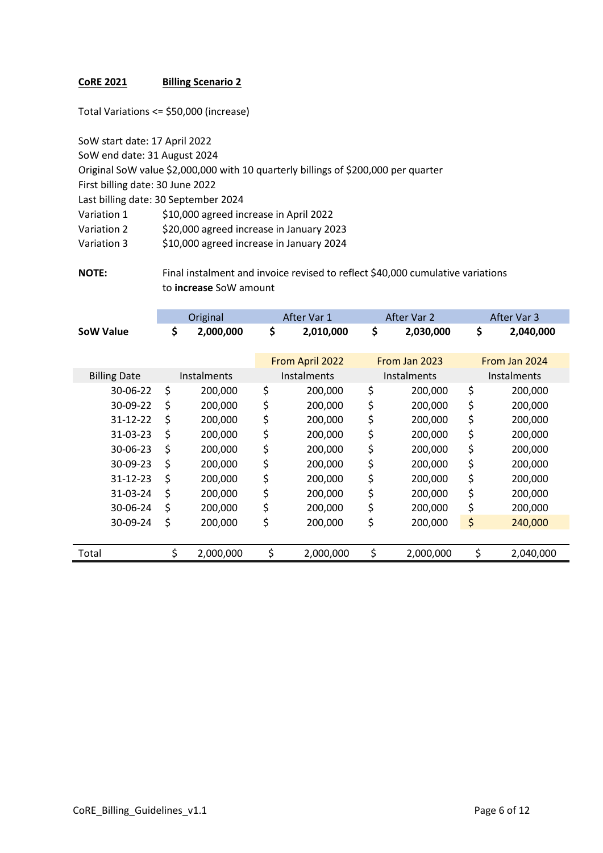Total Variations <= \$50,000 (increase)

SoW start date: 17 April 2022 SoW end date: 31 August 2024

Original SoW value \$2,000,000 with 10 quarterly billings of \$200,000 per quarter First billing date: 30 June 2022

Last billing date: 30 September 2024

Variation 1 \$10,000 agreed increase in April 2022

Variation 2 \$20,000 agreed increase in January 2023

Variation 3 \$10,000 agreed increase in January 2024

**NOTE:** Final instalment and invoice revised to reflect \$40,000 cumulative variations to **increase** SoW amount

|                     |          | Original           | After Var 1     | After Var 2        | After Var 3        |
|---------------------|----------|--------------------|-----------------|--------------------|--------------------|
| <b>SoW Value</b>    |          | \$<br>2,000,000    | \$<br>2,010,000 | \$<br>2,030,000    | \$<br>2,040,000    |
|                     |          |                    | From April 2022 | From Jan 2023      | From Jan 2024      |
| <b>Billing Date</b> |          | <b>Instalments</b> | Instalments     | <b>Instalments</b> | <b>Instalments</b> |
|                     | 30-06-22 | \$<br>200,000      | \$<br>200,000   | \$<br>200,000      | \$<br>200,000      |
|                     | 30-09-22 | \$<br>200,000      | \$<br>200,000   | \$<br>200,000      | \$<br>200,000      |
|                     | 31-12-22 | \$<br>200,000      | \$<br>200,000   | \$<br>200,000      | \$<br>200,000      |
|                     | 31-03-23 | \$<br>200,000      | \$<br>200,000   | \$<br>200,000      | \$<br>200,000      |
|                     | 30-06-23 | \$<br>200,000      | \$<br>200,000   | \$<br>200,000      | \$<br>200,000      |
|                     | 30-09-23 | \$<br>200,000      | \$<br>200,000   | \$<br>200,000      | \$<br>200,000      |
|                     | 31-12-23 | \$<br>200,000      | \$<br>200,000   | \$<br>200,000      | \$<br>200,000      |
|                     | 31-03-24 | \$<br>200,000      | \$<br>200,000   | \$<br>200,000      | \$<br>200,000      |
|                     | 30-06-24 | \$<br>200,000      | \$<br>200,000   | \$<br>200,000      | \$<br>200,000      |
|                     | 30-09-24 | \$<br>200,000      | \$<br>200,000   | \$<br>200,000      | \$<br>240,000      |
|                     |          |                    |                 |                    |                    |
| Total               |          | \$<br>2,000,000    | \$<br>2,000,000 | \$<br>2,000,000    | \$<br>2,040,000    |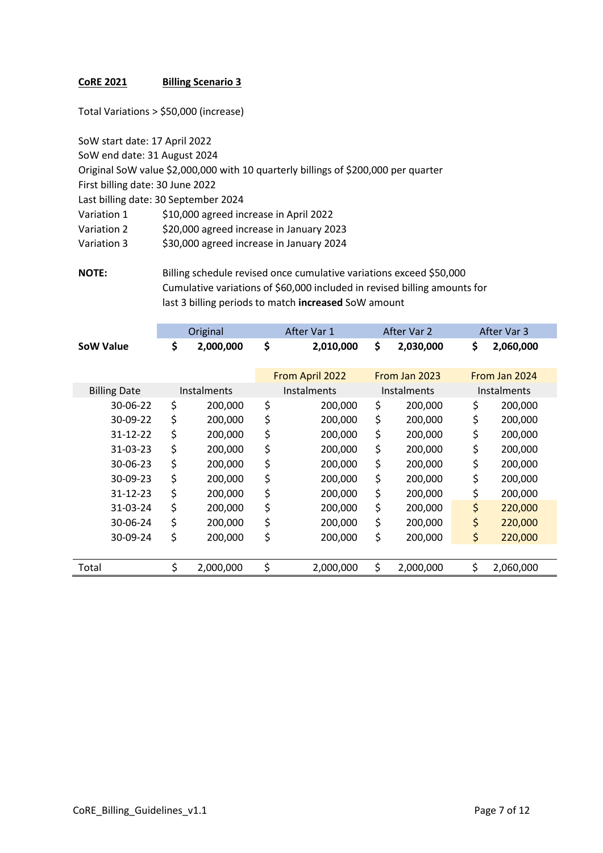Total Variations > \$50,000 (increase)

SoW start date: 17 April 2022 SoW end date: 31 August 2024 Original SoW value \$2,000,000 with 10 quarterly billings of \$200,000 per quarter First billing date: 30 June 2022 Last billing date: 30 September 2024 Variation 1 \$10,000 agreed increase in April 2022 Variation 2 \$20,000 agreed increase in January 2023 Variation 3 \$30,000 agreed increase in January 2024

**NOTE:** Billing schedule revised once cumulative variations exceed \$50,000 Cumulative variations of \$60,000 included in revised billing amounts for last 3 billing periods to match **increased** SoW amount

|                     | Original           | After Var 1     | After Var 2        | After Var 3        |
|---------------------|--------------------|-----------------|--------------------|--------------------|
| <b>SoW Value</b>    | \$<br>2,000,000    | \$<br>2,010,000 | \$<br>2,030,000    | \$<br>2,060,000    |
|                     |                    | From April 2022 | From Jan 2023      | From Jan 2024      |
| <b>Billing Date</b> | <b>Instalments</b> | Instalments     | <b>Instalments</b> | <b>Instalments</b> |
| 30-06-22            | \$<br>200,000      | \$<br>200,000   | \$<br>200,000      | \$<br>200,000      |
| 30-09-22            | \$<br>200,000      | \$<br>200,000   | \$<br>200,000      | \$<br>200,000      |
| 31-12-22            | \$<br>200,000      | \$<br>200,000   | \$<br>200,000      | \$<br>200,000      |
| 31-03-23            | \$<br>200,000      | \$<br>200,000   | \$<br>200,000      | \$<br>200,000      |
| $30 - 06 - 23$      | \$<br>200,000      | \$<br>200,000   | \$<br>200,000      | \$<br>200,000      |
| 30-09-23            | \$<br>200,000      | \$<br>200,000   | \$<br>200,000      | \$<br>200,000      |
| 31-12-23            | \$<br>200,000      | \$<br>200,000   | \$<br>200,000      | \$<br>200,000      |
| 31-03-24            | \$<br>200,000      | \$<br>200,000   | \$<br>200,000      | \$<br>220,000      |
| 30-06-24            | \$<br>200,000      | \$<br>200,000   | \$<br>200,000      | \$<br>220,000      |
| 30-09-24            | \$<br>200,000      | \$<br>200,000   | \$<br>200,000      | \$<br>220,000      |
|                     |                    |                 |                    |                    |
| Total               | \$<br>2,000,000    | \$<br>2,000,000 | \$<br>2,000,000    | \$<br>2,060,000    |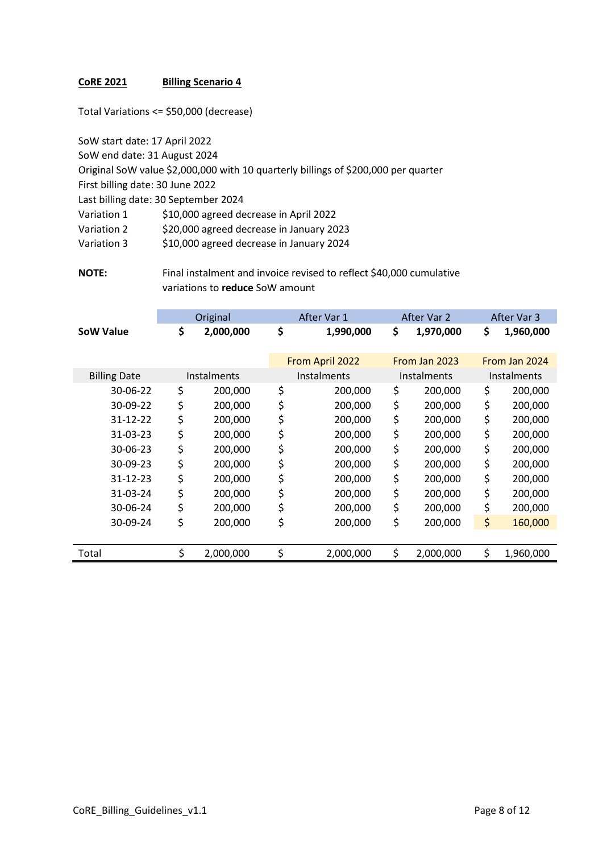Total Variations <= \$50,000 (decrease)

SoW start date: 17 April 2022 SoW end date: 31 August 2024 Original SoW value \$2,000,000 with 10 quarterly billings of \$200,000 per quarter First billing date: 30 June 2022 Last billing date: 30 September 2024 Variation 1 \$10,000 agreed decrease in April 2022 Variation 2 \$20,000 agreed decrease in January 2023 Variation 3 \$10,000 agreed decrease in January 2024

**NOTE:** Final instalment and invoice revised to reflect \$40,000 cumulative variations to **reduce** SoW amount

|                     | Original           | After Var 1     | After Var 2     | After Var 3        |
|---------------------|--------------------|-----------------|-----------------|--------------------|
| <b>SoW Value</b>    | \$<br>2,000,000    | \$<br>1,990,000 | \$<br>1,970,000 | \$<br>1,960,000    |
|                     |                    | From April 2022 | From Jan 2023   | From Jan 2024      |
| <b>Billing Date</b> | <b>Instalments</b> | Instalments     | Instalments     | <b>Instalments</b> |
| 30-06-22            | \$<br>200,000      | \$<br>200,000   | \$<br>200,000   | \$<br>200,000      |
| 30-09-22            | \$<br>200,000      | \$<br>200,000   | \$<br>200,000   | \$<br>200,000      |
| 31-12-22            | \$<br>200,000      | \$<br>200,000   | \$<br>200,000   | \$<br>200,000      |
| 31-03-23            | \$<br>200,000      | \$<br>200,000   | \$<br>200,000   | \$<br>200,000      |
| 30-06-23            | \$<br>200,000      | \$<br>200,000   | \$<br>200,000   | \$<br>200,000      |
| 30-09-23            | \$<br>200,000      | \$<br>200,000   | \$<br>200,000   | \$<br>200,000      |
| 31-12-23            | \$<br>200,000      | \$<br>200,000   | \$<br>200,000   | \$<br>200,000      |
| 31-03-24            | \$<br>200,000      | \$<br>200,000   | \$<br>200,000   | \$<br>200,000      |
| 30-06-24            | \$<br>200,000      | \$<br>200,000   | \$<br>200,000   | \$<br>200,000      |
| 30-09-24            | \$<br>200,000      | \$<br>200,000   | \$<br>200,000   | \$<br>160,000      |
|                     |                    |                 |                 |                    |
| Total               | \$<br>2,000,000    | \$<br>2,000,000 | \$<br>2,000,000 | \$<br>1,960,000    |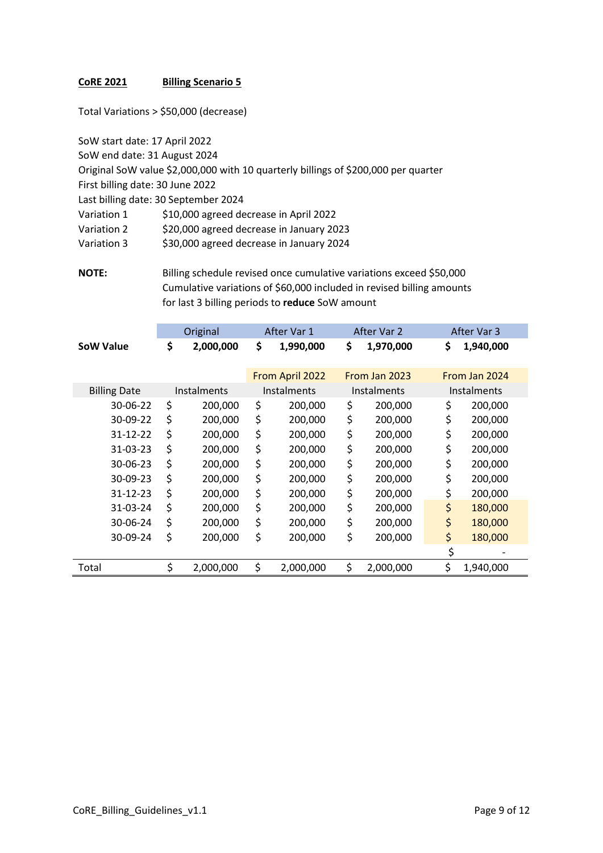Total Variations > \$50,000 (decrease)

SoW start date: 17 April 2022 SoW end date: 31 August 2024 Original SoW value \$2,000,000 with 10 quarterly billings of \$200,000 per quarter First billing date: 30 June 2022 Last billing date: 30 September 2024 Variation 1 \$10,000 agreed decrease in April 2022 Variation 2 \$20,000 agreed decrease in January 2023 Variation 3 \$30,000 agreed decrease in January 2024

**NOTE:** Billing schedule revised once cumulative variations exceed \$50,000 Cumulative variations of \$60,000 included in revised billing amounts for last 3 billing periods to **reduce** SoW amount

|                     | Original        | After Var 1     | After Var 2        | After Var 3        |
|---------------------|-----------------|-----------------|--------------------|--------------------|
| <b>SoW Value</b>    | \$<br>2,000,000 | \$<br>1,990,000 | \$<br>1,970,000    | \$<br>1,940,000    |
|                     |                 | From April 2022 | From Jan 2023      | From Jan 2024      |
| <b>Billing Date</b> | Instalments     | Instalments     | <b>Instalments</b> | <b>Instalments</b> |
| 30-06-22            | \$<br>200,000   | \$<br>200,000   | \$<br>200,000      | \$<br>200,000      |
| 30-09-22            | \$<br>200,000   | \$<br>200,000   | \$<br>200,000      | \$<br>200,000      |
| 31-12-22            | \$<br>200,000   | \$<br>200,000   | \$<br>200,000      | \$<br>200,000      |
| 31-03-23            | \$<br>200,000   | \$<br>200,000   | \$<br>200,000      | \$<br>200,000      |
| 30-06-23            | \$<br>200,000   | \$<br>200,000   | \$<br>200,000      | \$<br>200,000      |
| 30-09-23            | \$<br>200,000   | \$<br>200,000   | \$<br>200,000      | \$<br>200,000      |
| 31-12-23            | \$<br>200,000   | \$<br>200,000   | \$<br>200,000      | \$<br>200,000      |
| 31-03-24            | \$<br>200,000   | \$<br>200,000   | \$<br>200,000      | \$<br>180,000      |
| 30-06-24            | \$<br>200,000   | \$<br>200,000   | \$<br>200,000      | \$<br>180,000      |
| 30-09-24            | \$<br>200,000   | \$<br>200,000   | \$<br>200,000      | \$<br>180,000      |
|                     |                 |                 |                    | \$                 |
| Total               | \$<br>2,000,000 | \$<br>2,000,000 | \$<br>2,000,000    | \$<br>1,940,000    |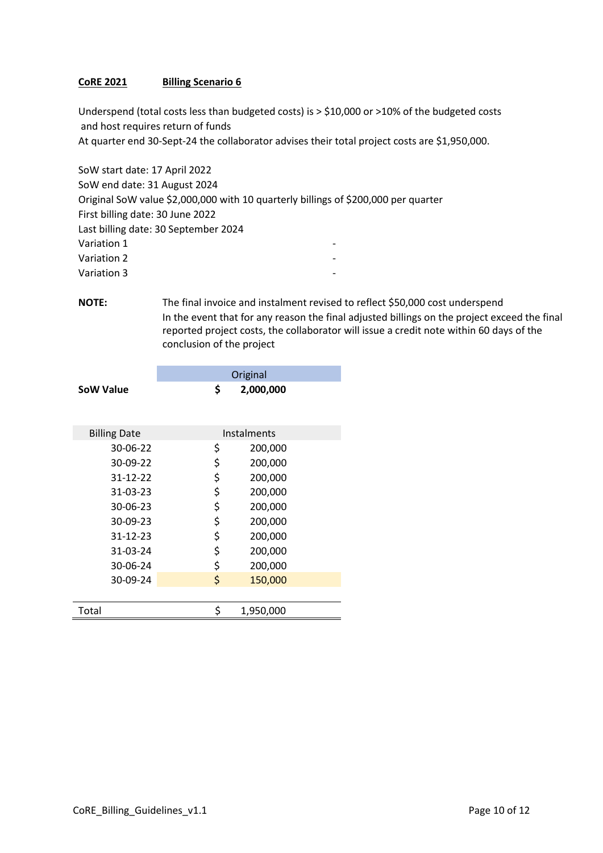Underspend (total costs less than budgeted costs) is > \$10,000 or >10% of the budgeted costs and host requires return of funds At quarter end 30-Sept-24 the collaborator advises their total project costs are \$1,950,000.

SoW start date: 17 April 2022 SoW end date: 31 August 2024 Original SoW value \$2,000,000 with 10 quarterly billings of \$200,000 per quarter First billing date: 30 June 2022 Last billing date: 30 September 2024 Variation 1 and 1 and 1 and 1 and 1 and 1 and 1 and 1 and 1 and 1 and 1 and 1 and 1 and 1 and 1 and 1 and 1 and 1 and 1 and 1 and 1 and 1 and 1 and 1 and 1 and 1 and 1 and 1 and 1 and 1 and 1 and 1 and 1 and 1 and 1 and 1 Variation 2 and 2 and 2 and 2 and 2 and 2 and 2 and 2 and 2 and 2 and 2 and 2 and 2 and 2 and 2 and 2 and 2 and 2 and 2 and 2 and 2 and 2 and 2 and 2 and 2 and 2 and 2 and 2 and 2 and 2 and 2 and 2 and 2 and 2 and 2 and 2 Variation 3 -

**NOTE:** The final invoice and instalment revised to reflect \$50,000 cost underspend In the event that for any reason the final adjusted billings on the project exceed the final reported project costs, the collaborator will issue a credit note within 60 days of the conclusion of the project

|                     | Original        |
|---------------------|-----------------|
| SoW Value           | \$<br>2,000,000 |
| <b>Billing Date</b> | Instalments     |
| 30-06-22            | \$<br>200,000   |
| 30-09-22            | \$<br>200,000   |
| $31 - 12 - 22$      | \$<br>200,000   |
| 31-03-23            | \$<br>200,000   |
| 30-06-23            | \$<br>200,000   |
| 30-09-23            | \$<br>200,000   |
| $31 - 12 - 23$      | \$<br>200,000   |
| 31-03-24            | \$<br>200,000   |
| 30-06-24            | \$<br>200,000   |
| 30-09-24            | \$<br>150,000   |
|                     |                 |
| Total               | \$<br>1,950,000 |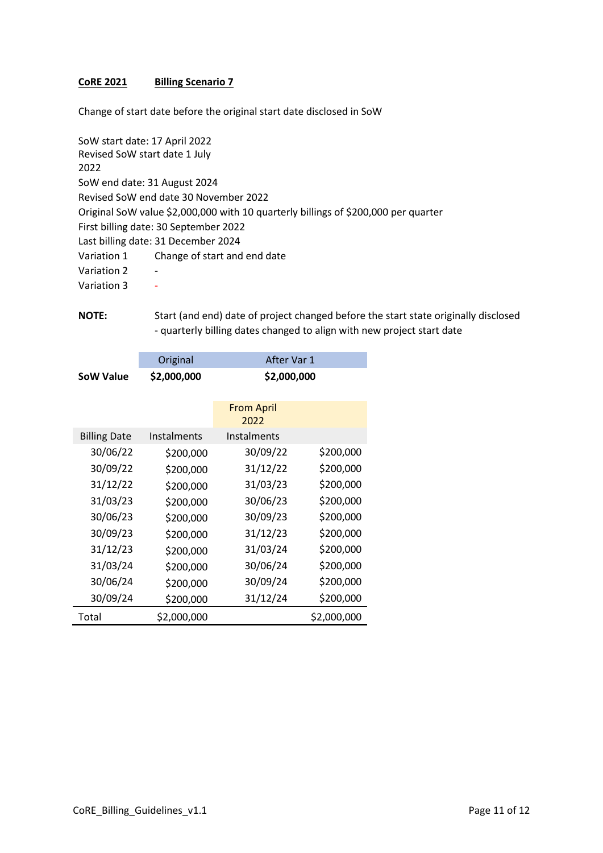Change of start date before the original start date disclosed in SoW

| SoW start date: 17 April 2022 |                                                                                    |
|-------------------------------|------------------------------------------------------------------------------------|
| Revised SoW start date 1 July |                                                                                    |
| 2022                          |                                                                                    |
| SoW end date: 31 August 2024  |                                                                                    |
|                               | Revised SoW end date 30 November 2022                                              |
|                               | Original SoW value \$2,000,000 with 10 quarterly billings of \$200,000 per quarter |
|                               | First billing date: 30 September 2022                                              |
|                               | Last billing date: 31 December 2024                                                |
| Variation 1                   | Change of start and end date                                                       |
| Variation 2                   |                                                                                    |
| Variation 3                   |                                                                                    |
|                               |                                                                                    |

**NOTE:** Start (and end) date of project changed before the start state originally disclosed - quarterly billing dates changed to align with new project start date

|                     | Original    | After Var 1               |             |  |  |
|---------------------|-------------|---------------------------|-------------|--|--|
| <b>SoW Value</b>    | \$2,000,000 |                           | \$2,000,000 |  |  |
|                     |             | <b>From April</b><br>2022 |             |  |  |
| <b>Billing Date</b> | Instalments | Instalments               |             |  |  |
| 30/06/22            | \$200,000   | 30/09/22                  | \$200,000   |  |  |
| 30/09/22            | \$200,000   | 31/12/22                  | \$200,000   |  |  |
| 31/12/22            | \$200,000   | 31/03/23                  | \$200,000   |  |  |
| 31/03/23            | \$200,000   | 30/06/23                  | \$200,000   |  |  |
| 30/06/23            | \$200,000   | 30/09/23                  | \$200,000   |  |  |
| 30/09/23            | \$200,000   | 31/12/23                  | \$200,000   |  |  |
| 31/12/23            | \$200,000   | 31/03/24                  | \$200,000   |  |  |
| 31/03/24            | \$200,000   | 30/06/24                  | \$200,000   |  |  |
| 30/06/24            | \$200,000   | 30/09/24                  | \$200,000   |  |  |
| 30/09/24            | \$200,000   | 31/12/24                  | \$200,000   |  |  |
| Total               | \$2,000,000 |                           | \$2,000,000 |  |  |